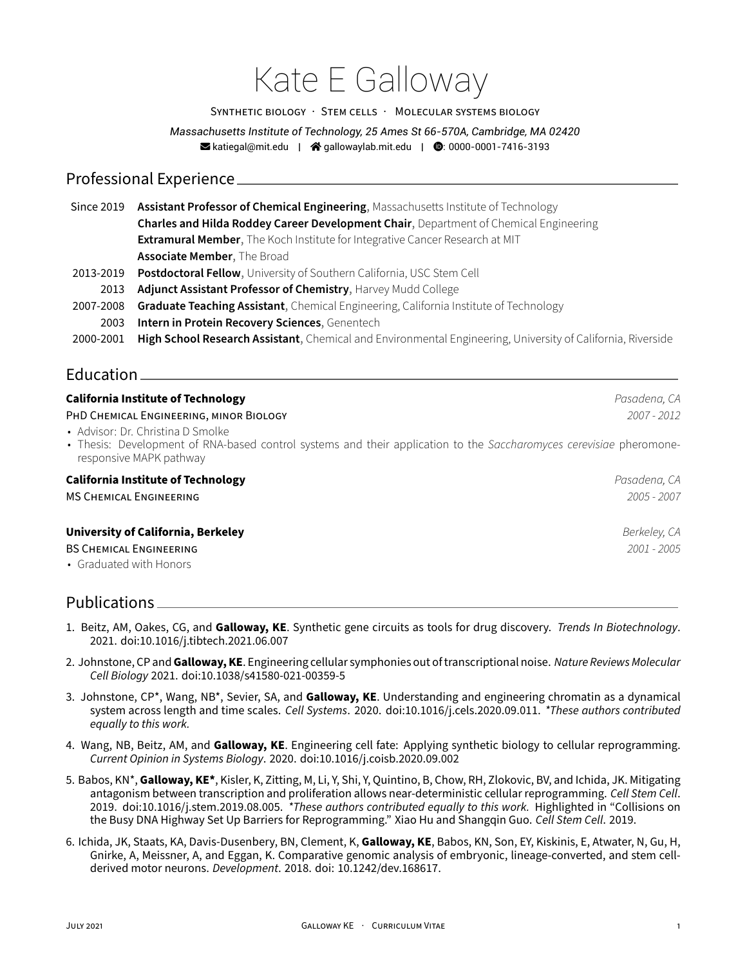# Kate E Galloway

#### SYNTHETiC BiOLOGY · STEM CELLS · MOLECULAR SYSTEMS BiOLOGY

*Massachusetts Institute of Technology, 25 Ames St 66-570A, Cambridge, MA 02420*  $\blacktriangleright$  katiegal@mit.edu |  $\blacktriangleleft$  gallowaylab.mit.edu |  $\blacktriangleright$  0.000-0001-7416-3193

## Professional Experience

| Since 2019 | Assistant Professor of Chemical Engineering, Massachusetts Institute of Technology                          |
|------------|-------------------------------------------------------------------------------------------------------------|
|            | Charles and Hilda Roddey Career Development Chair, Department of Chemical Engineering                       |
|            | Extramural Member, The Koch Institute for Integrative Cancer Research at MIT                                |
|            | <b>Associate Member, The Broad</b>                                                                          |
| 2013-2019  | Postdoctoral Fellow, University of Southern California, USC Stem Cell                                       |
| 2013       | Adjunct Assistant Professor of Chemistry, Harvey Mudd College                                               |
| 2007-2008  | Graduate Teaching Assistant, Chemical Engineering, California Institute of Technology                       |
| 2003       | Intern in Protein Recovery Sciences, Genentech                                                              |
| 2000-2001  | High School Research Assistant, Chemical and Environmental Engineering, University of California, Riverside |
|            |                                                                                                             |

## **Education**

| <b>California Institute of Technology</b>                                                                                                                                           | Pasadena, CA  |
|-------------------------------------------------------------------------------------------------------------------------------------------------------------------------------------|---------------|
| PHD CHEMICAL ENGINEERING, MINOR BIOLOGY                                                                                                                                             | $2007 - 2012$ |
| • Advisor: Dr. Christina D Smolke<br>• Thesis: Development of RNA-based control systems and their application to the Saccharomyces cerevisiae pheromone-<br>responsive MAPK pathway |               |
| <b>California Institute of Technology</b>                                                                                                                                           | Pasadena, CA  |
| <b>MS CHEMICAL ENGINEERING</b>                                                                                                                                                      | $2005 - 2007$ |
| <b>University of California, Berkeley</b>                                                                                                                                           | Berkeley, CA  |
| <b>BS CHEMICAL ENGINEERING</b>                                                                                                                                                      | $2001 - 2005$ |
| • Graduated with Honors                                                                                                                                                             |               |

# Publications

- 1. Beitz, AM, Oakes, CG, and **Galloway, KE**. Synthetic gene circuits as tools for drug discovery. *Trends In Biotechnology*. 2021. doi:10.1016/j.tibtech.2021.06.007
- 2. Johnstone, CP and**Galloway, KE**. Engineering cellular symphonies out of transcriptional noise. *Nature Reviews Molecular Cell Biology* 2021. doi:10.1038/s41580‑021‑00359‑5
- 3. Johnstone, CP\*, Wang, NB\*, Sevier, SA, and **Galloway, KE**. Understanding and engineering chromatin as a dynamical system across length and time scales. *Cell Systems*. 2020. doi:10.1016/j.cels.2020.09.011. *\*These authors contributed equally to this work.*
- 4. Wang, NB, Beitz, AM, and **Galloway, KE**. Engineering cell fate: Applying synthetic biology to cellular reprogramming. *Current Opinion in Systems Biology*. 2020. doi:10.1016/j.coisb.2020.09.002
- 5. Babos, KN\*, **Galloway, KE\***, Kisler, K, Zitting, M, Li, Y, Shi, Y, Quintino, B, Chow, RH, Zlokovic, BV, and Ichida, JK. Mitigating antagonism between transcription and proliferation allows near‑deterministic cellular reprogramming. *Cell Stem Cell*. 2019. doi:10.1016/j.stem.2019.08.005. *\*These authors contributed equally to this work.* Highlighted in "Collisions on the Busy DNA Highway Set Up Barriers for Reprogramming." Xiao Hu and Shangqin Guo. *Cell Stem Cell*. 2019.
- 6. Ichida, JK, Staats, KA, Davis‑Dusenbery, BN, Clement, K, **Galloway, KE**, Babos, KN, Son, EY, Kiskinis, E, Atwater, N, Gu, H, Gnirke, A, Meissner, A, and Eggan, K. Comparative genomic analysis of embryonic, lineage-converted, and stem cellderived motor neurons. *Development*. 2018. doi: 10.1242/dev.168617.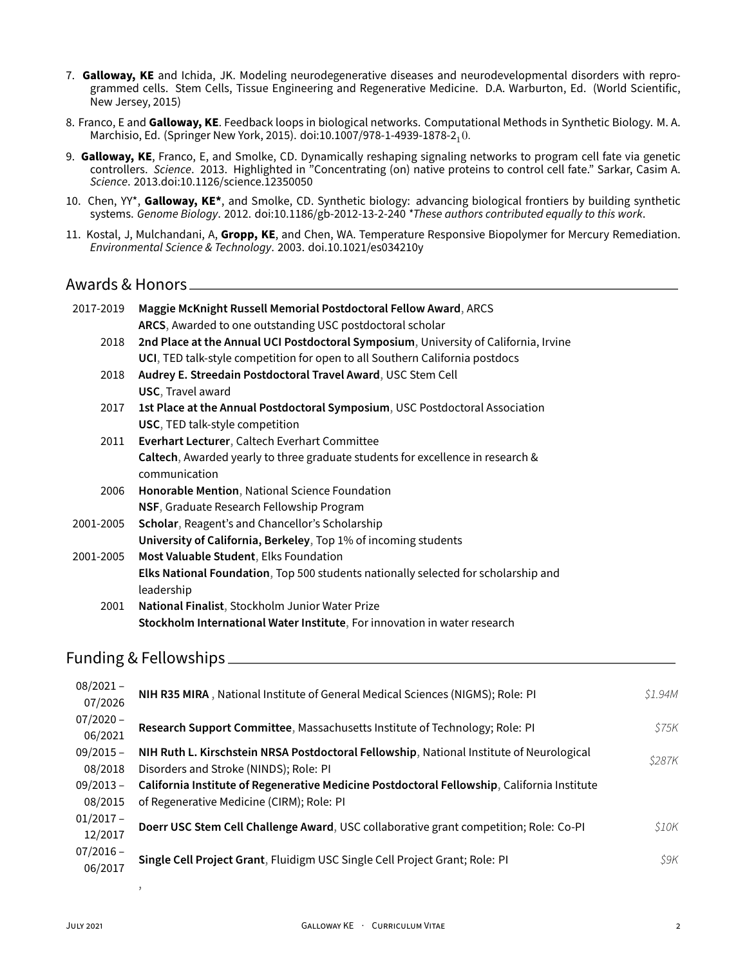- 7. Galloway, KE and Ichida, JK. Modeling neurodegenerative diseases and neurodevelopmental disorders with reprogrammed cells. Stem Cells, Tissue Engineering and Regenerative Medicine. D.A. Warburton, Ed. (World Scientific, New Jersey, 2015)
- 8. Franco, E and **Galloway, KE**. Feedback loops in biological networks. Computational Methods in Synthetic Biology. M. A. Marchisio, Ed. (Springer New York, 2015). doi:10.1007/978-1-4939-1878-210.
- 9. **Galloway, KE**, Franco, E, and Smolke, CD. Dynamically reshaping signaling networks to program cell fate via genetic controllers. *Science*. 2013. Highlighted in "Concentrating (on) native proteins to control cell fate." Sarkar, Casim A. *Science*. 2013.doi:10.1126/science.12350050
- 10. Chen, YY\*, **Galloway, KE\***, and Smolke, CD. Synthetic biology: advancing biological frontiers by building synthetic systems. *Genome Biology*. 2012. doi:10.1186/gb‑2012‑13‑2‑240 *\*These authors contributed equally to this work*.
- 11. Kostal, J, Mulchandani, A, **Gropp, KE**, and Chen, WA. Temperature Responsive Biopolymer for Mercury Remediation. *Environmental Science & Technology*. 2003. doi.10.1021/es034210y

## Awards & Honors

| 2017-2019 | Maggie McKnight Russell Memorial Postdoctoral Fellow Award, ARCS                     |
|-----------|--------------------------------------------------------------------------------------|
|           | ARCS, Awarded to one outstanding USC postdoctoral scholar                            |
| 2018      | 2nd Place at the Annual UCI Postdoctoral Symposium, University of California, Irvine |
|           | UCI, TED talk-style competition for open to all Southern California postdocs         |
| 2018      | Audrey E. Streedain Postdoctoral Travel Award, USC Stem Cell                         |
|           | <b>USC, Travel award</b>                                                             |
| 2017      | 1st Place at the Annual Postdoctoral Symposium, USC Postdoctoral Association         |
|           | USC, TED talk-style competition                                                      |
| 2011      | Everhart Lecturer, Caltech Everhart Committee                                        |
|           | Caltech, Awarded yearly to three graduate students for excellence in research &      |
|           | communication                                                                        |
| 2006      | Honorable Mention, National Science Foundation                                       |
|           | NSF, Graduate Research Fellowship Program                                            |
| 2001-2005 | Scholar, Reagent's and Chancellor's Scholarship                                      |
|           | University of California, Berkeley, Top 1% of incoming students                      |
| 2001-2005 | Most Valuable Student, Elks Foundation                                               |
|           | Elks National Foundation, Top 500 students nationally selected for scholarship and   |
|           | leadership                                                                           |
| 2001      | National Finalist, Stockholm Junior Water Prize                                      |
|           | Stockholm International Water Institute, For innovation in water research            |
|           |                                                                                      |
|           | Funding & Fellowships.                                                               |
|           |                                                                                      |

| $08/2021 -$<br>07/2026 | NIH R35 MIRA, National Institute of General Medical Sciences (NIGMS); Role: PI              | \$1.94M |
|------------------------|---------------------------------------------------------------------------------------------|---------|
| $07/2020 -$<br>06/2021 | Research Support Committee, Massachusetts Institute of Technology; Role: PI                 | S75K    |
| $09/2015 -$            | NIH Ruth L. Kirschstein NRSA Postdoctoral Fellowship, National Institute of Neurological    | \$287K  |
| 08/2018                | Disorders and Stroke (NINDS); Role: PI                                                      |         |
| $09/2013 -$            | California Institute of Regenerative Medicine Postdoctoral Fellowship, California Institute |         |
| 08/2015                | of Regenerative Medicine (CIRM); Role: PI                                                   |         |
| $01/2017 -$<br>12/2017 | Doerr USC Stem Cell Challenge Award, USC collaborative grant competition; Role: Co-PI       | S10K    |
| $07/2016 -$<br>06/2017 | Single Cell Project Grant, Fluidigm USC Single Cell Project Grant; Role: PI                 | S9K.    |
|                        |                                                                                             |         |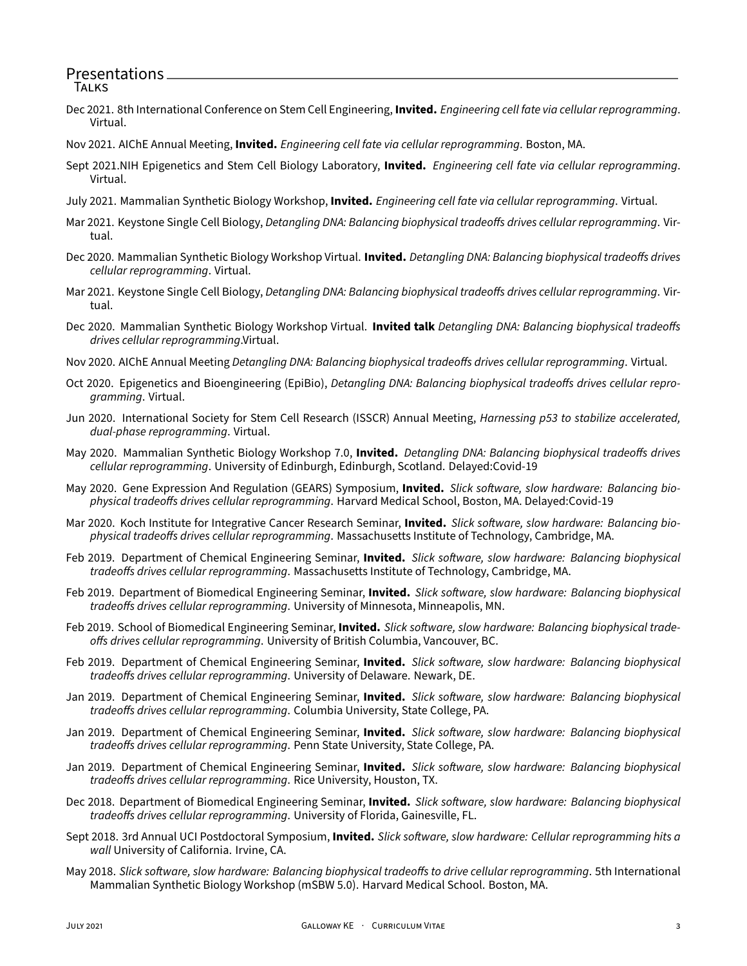#### Presentations **TALKS**

- Dec 2021. 8th International Conference on Stem Cell Engineering, **Invited.** *Engineering cell fate via cellular reprogramming*. Virtual.
- Nov 2021. AIChE Annual Meeting, **Invited.** *Engineering cell fate via cellular reprogramming*. Boston, MA.
- Sept 2021.NIH Epigenetics and Stem Cell Biology Laboratory, **Invited.** *Engineering cell fate via cellular reprogramming*. Virtual.
- July 2021. Mammalian Synthetic Biology Workshop, **Invited.** *Engineering cell fate via cellular reprogramming*. Virtual.
- Mar 2021. Keystone Single Cell Biology, *Detangling DNA: Balancing biophysical tradeoffs drives cellular reprogramming*. Vir‑ tual.
- Dec 2020. Mammalian Synthetic Biology Workshop Virtual. **Invited.** *Detangling DNA: Balancing biophysical tradeoffs drives cellular reprogramming*. Virtual.
- Mar 2021. Keystone Single Cell Biology, *Detangling DNA: Balancing biophysical tradeoffs drives cellular reprogramming*. Vir‑ tual.
- Dec 2020. Mammalian Synthetic Biology Workshop Virtual. **Invited talk** *Detangling DNA: Balancing biophysical tradeoffs drives cellular reprogramming*.Virtual.
- Nov 2020. AIChE Annual Meeting *Detangling DNA: Balancing biophysical tradeoffs drives cellular reprogramming*. Virtual.
- Oct 2020. Epigenetics and Bioengineering (EpiBio), *Detangling DNA: Balancing biophysical tradeoffs drives cellular repro‑ gramming*. Virtual.
- Jun 2020. International Society for Stem Cell Research (ISSCR) Annual Meeting, *Harnessing p53 to stabilize accelerated, dual‑phase reprogramming*. Virtual.
- May 2020. Mammalian Synthetic Biology Workshop 7.0, **Invited.** *Detangling DNA: Balancing biophysical tradeoffs drives cellular reprogramming*. University of Edinburgh, Edinburgh, Scotland. Delayed:Covid‑19
- May 2020. Gene Expression And Regulation (GEARS) Symposium, **Invited.** *Slick software, slow hardware: Balancing bio‑ physical tradeoffs drives cellular reprogramming*. Harvard Medical School, Boston, MA. Delayed:Covid‑19
- Mar 2020. Koch Institute for Integrative Cancer Research Seminar, **Invited.** *Slick software, slow hardware: Balancing bio‑ physical tradeoffs drives cellular reprogramming*. Massachusetts Institute of Technology, Cambridge, MA.
- Feb 2019. Department of Chemical Engineering Seminar, **Invited.** *Slick software, slow hardware: Balancing biophysical tradeoffs drives cellular reprogramming*. Massachusetts Institute of Technology, Cambridge, MA.
- Feb 2019. Department of Biomedical Engineering Seminar, **Invited.** *Slick software, slow hardware: Balancing biophysical tradeoffs drives cellular reprogramming*. University of Minnesota, Minneapolis, MN.
- Feb 2019. School of Biomedical Engineering Seminar, **Invited.** *Slick software, slow hardware: Balancing biophysical trade‑ offs drives cellular reprogramming*. University of British Columbia, Vancouver, BC.
- Feb 2019. Department of Chemical Engineering Seminar, **Invited.** *Slick software, slow hardware: Balancing biophysical tradeoffs drives cellular reprogramming*. University of Delaware. Newark, DE.
- Jan 2019. Department of Chemical Engineering Seminar, **Invited.** *Slick software, slow hardware: Balancing biophysical tradeoffs drives cellular reprogramming*. Columbia University, State College, PA.
- Jan 2019. Department of Chemical Engineering Seminar, **Invited.** *Slick software, slow hardware: Balancing biophysical tradeoffs drives cellular reprogramming*. Penn State University, State College, PA.
- Jan 2019. Department of Chemical Engineering Seminar, **Invited.** *Slick software, slow hardware: Balancing biophysical tradeoffs drives cellular reprogramming*. Rice University, Houston, TX.
- Dec 2018. Department of Biomedical Engineering Seminar, **Invited.** *Slick software, slow hardware: Balancing biophysical tradeoffs drives cellular reprogramming*. University of Florida, Gainesville, FL.
- Sept 2018. 3rd Annual UCI Postdoctoral Symposium, **Invited.** *Slick software, slow hardware: Cellular reprogramming hits a wall* University of California. Irvine, CA.
- May 2018. *Slick software, slow hardware: Balancing biophysical tradeoffs to drive cellular reprogramming*. 5th International Mammalian Synthetic Biology Workshop (mSBW 5.0). Harvard Medical School. Boston, MA.